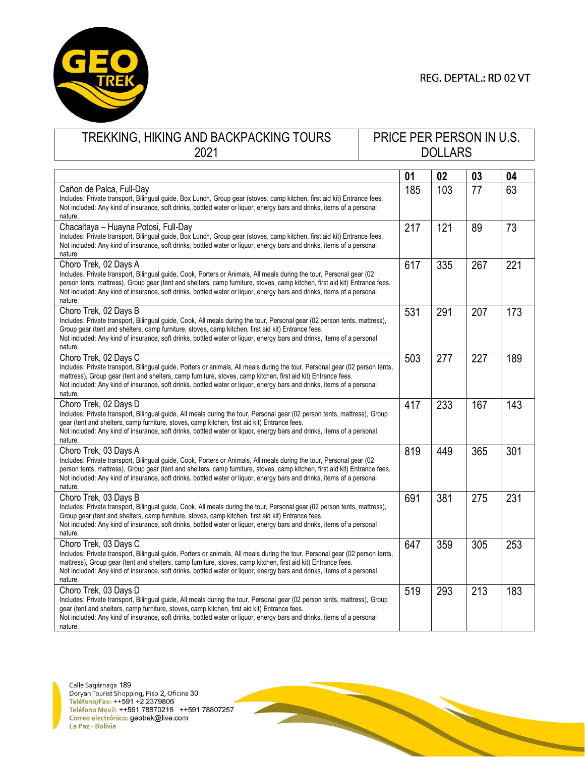

## REG. DEPTAL.: RD 02 VT

## TREKKING, HIKING AND BACKPACKING TOURS 2021

## PRICE PER PERSON IN U.S. DOLLARS

|                                                                                                                                                                                                                                                                                                                                                                                                                   | 01  | 02  | 03  | 04  |
|-------------------------------------------------------------------------------------------------------------------------------------------------------------------------------------------------------------------------------------------------------------------------------------------------------------------------------------------------------------------------------------------------------------------|-----|-----|-----|-----|
| Cañon de Palca, Full-Day<br>Includes: Private transport, Bilingual guide, Box Lunch, Group gear (stoves, camp kitchen, first aid kit) Entrance fees.<br>Not included: Any kind of insurance, soft drinks, bottled water or liquor, energy bars and drinks, items of a personal<br>nature.                                                                                                                         | 185 | 103 | 77  | 63  |
| Chacaltaya - Huayna Potosi, Full-Day<br>Includes: Private transport, Bilingual guide, Box Lunch, Group gear (stoves, camp kitchen, first aid kit) Entrance fees.<br>Not included: Any kind of insurance, soft drinks, bottled water or liquor, energy bars and drinks, items of a personal<br>nature.                                                                                                             | 217 | 121 | 89  | 73  |
| Choro Trek, 02 Days A<br>Includes: Private transport, Bilingual guide, Cook, Porters or Animals, All meals during the tour, Personal gear (02<br>person tents, mattress), Group gear (tent and shelters, camp furniture, stoves, camp kitchen, first aid kit) Entrance fees.<br>Not included: Any kind of insurance, soft drinks, bottled water or liquor, energy bars and drinks, items of a personal<br>nature. | 617 | 335 | 267 | 221 |
| Choro Trek, 02 Days B<br>Includes: Private transport, Bilingual guide, Cook, All meals during the tour, Personal gear (02 person tents, mattress),<br>Group gear (tent and shelters, camp furniture, stoves, camp kitchen, first aid kit) Entrance fees.<br>Not included: Any kind of insurance, soft drinks, bottled water or liquor, energy bars and drinks, items of a personal<br>nature.                     | 531 | 291 | 207 | 173 |
| Choro Trek, 02 Days C<br>Includes: Private transport, Bilingual guide, Porters or animals, All meals during the tour, Personal gear (02 person tents,<br>mattress), Group gear (tent and shelters, camp furniture, stoves, camp kitchen, first aid kit) Entrance fees.<br>Not included: Any kind of insurance, soft drinks, bottled water or liquor, energy bars and drinks, items of a personal<br>nature.       | 503 | 277 | 227 | 189 |
| Choro Trek, 02 Days D<br>Includes: Private transport, Bilingual guide, All meals during the tour, Personal gear (02 person tents, mattress), Group<br>gear (tent and shelters, camp furniture, stoves, camp kitchen, first aid kit) Entrance fees.<br>Not included: Any kind of insurance, soft drinks, bottled water or liquor, energy bars and drinks, items of a personal<br>nature.                           | 417 | 233 | 167 | 143 |
| Choro Trek, 03 Days A<br>Includes: Private transport, Bilingual guide, Cook, Porters or Animals, All meals during the tour, Personal gear (02<br>person tents, mattress), Group gear (tent and shelters, camp furniture, stoves, camp kitchen, first aid kit) Entrance fees.<br>Not included: Any kind of insurance, soft drinks, bottled water or liquor, energy bars and drinks, items of a personal<br>nature. | 819 | 449 | 365 | 301 |
| Choro Trek, 03 Days B<br>Includes: Private transport, Bilingual guide, Cook, All meals during the tour, Personal gear (02 person tents, mattress),<br>Group gear (tent and shelters, camp furniture, stoves, camp kitchen, first aid kit) Entrance fees.<br>Not included: Any kind of insurance, soft drinks, bottled water or liquor, energy bars and drinks, items of a personal<br>nature.                     | 691 | 381 | 275 | 231 |
| Choro Trek, 03 Days C<br>Includes: Private transport, Bilingual guide, Porters or animals, All meals during the tour, Personal gear (02 person tents,<br>mattress), Group gear (tent and shelters, camp furniture, stoves, camp kitchen, first aid kit) Entrance fees.<br>Not included: Any kind of insurance, soft drinks, bottled water or liquor, energy bars and drinks, items of a personal<br>nature.       | 647 | 359 | 305 | 253 |
| Choro Trek, 03 Days D<br>Includes: Private transport, Bilingual guide, All meals during the tour, Personal gear (02 person tents, mattress), Group<br>gear (tent and shelters, camp furniture, stoves, camp kitchen, first aid kit) Entrance fees.<br>Not included: Any kind of insurance, soft drinks, bottled water or liquor, energy bars and drinks, items of a personal<br>nature.                           | 519 | 293 | 213 | 183 |

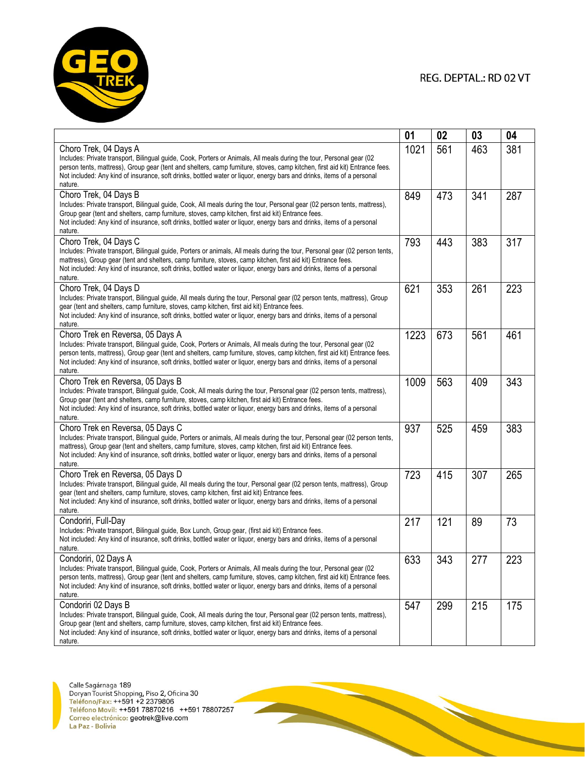

**REAL PROPERTY** 

|                                                                                                                                                                                                                                                                                                                                                                                                                              | 01   | 02  | 03  | 04  |
|------------------------------------------------------------------------------------------------------------------------------------------------------------------------------------------------------------------------------------------------------------------------------------------------------------------------------------------------------------------------------------------------------------------------------|------|-----|-----|-----|
| Choro Trek, 04 Days A<br>Includes: Private transport, Bilingual guide, Cook, Porters or Animals, All meals during the tour, Personal gear (02<br>person tents, mattress), Group gear (tent and shelters, camp furniture, stoves, camp kitchen, first aid kit) Entrance fees.<br>Not included: Any kind of insurance, soft drinks, bottled water or liquor, energy bars and drinks, items of a personal<br>nature.            | 1021 | 561 | 463 | 381 |
| Choro Trek, 04 Days B<br>Includes: Private transport, Bilingual guide, Cook, All meals during the tour, Personal gear (02 person tents, mattress),<br>Group gear (tent and shelters, camp furniture, stoves, camp kitchen, first aid kit) Entrance fees.<br>Not included: Any kind of insurance, soft drinks, bottled water or liquor, energy bars and drinks, items of a personal<br>nature.                                | 849  | 473 | 341 | 287 |
| Choro Trek, 04 Days C<br>Includes: Private transport, Bilingual guide, Porters or animals, All meals during the tour, Personal gear (02 person tents,<br>mattress), Group gear (tent and shelters, camp furniture, stoves, camp kitchen, first aid kit) Entrance fees.<br>Not included: Any kind of insurance, soft drinks, bottled water or liquor, energy bars and drinks, items of a personal<br>nature.                  | 793  | 443 | 383 | 317 |
| Choro Trek, 04 Days D<br>Includes: Private transport, Bilingual guide, All meals during the tour, Personal gear (02 person tents, mattress), Group<br>gear (tent and shelters, camp furniture, stoves, camp kitchen, first aid kit) Entrance fees.<br>Not included: Any kind of insurance, soft drinks, bottled water or liquor, energy bars and drinks, items of a personal<br>nature.                                      | 621  | 353 | 261 | 223 |
| Choro Trek en Reversa, 05 Days A<br>Includes: Private transport, Bilingual guide, Cook, Porters or Animals, All meals during the tour, Personal gear (02<br>person tents, mattress), Group gear (tent and shelters, camp furniture, stoves, camp kitchen, first aid kit) Entrance fees.<br>Not included: Any kind of insurance, soft drinks, bottled water or liguor, energy bars and drinks, items of a personal<br>nature. | 1223 | 673 | 561 | 461 |
| Choro Trek en Reversa, 05 Days B<br>Includes: Private transport, Bilingual guide, Cook, All meals during the tour, Personal gear (02 person tents, mattress),<br>Group gear (tent and shelters, camp furniture, stoves, camp kitchen, first aid kit) Entrance fees.<br>Not included: Any kind of insurance, soft drinks, bottled water or liquor, energy bars and drinks, items of a personal<br>nature.                     | 1009 | 563 | 409 | 343 |
| Choro Trek en Reversa, 05 Days C<br>Includes: Private transport, Bilingual guide, Porters or animals, All meals during the tour, Personal gear (02 person tents,<br>mattress), Group gear (tent and shelters, camp furniture, stoves, camp kitchen, first aid kit) Entrance fees.<br>Not included: Any kind of insurance, soft drinks, bottled water or liquor, energy bars and drinks, items of a personal<br>nature.       | 937  | 525 | 459 | 383 |
| Choro Trek en Reversa, 05 Days D<br>Includes: Private transport, Bilingual guide, All meals during the tour, Personal gear (02 person tents, mattress), Group<br>gear (tent and shelters, camp furniture, stoves, camp kitchen, first aid kit) Entrance fees.<br>Not included: Any kind of insurance, soft drinks, bottled water or liquor, energy bars and drinks, items of a personal<br>nature.                           | 723  | 415 | 307 | 265 |
| Condoriri, Full-Day<br>Includes: Private transport, Bilingual guide, Box Lunch, Group gear, (first aid kit) Entrance fees.<br>Not included: Any kind of insurance, soft drinks, bottled water or liquor, energy bars and drinks, items of a personal<br>nature.                                                                                                                                                              | 217  | 121 | 89  | 73  |
| Condoriri, 02 Days A<br>Includes: Private transport, Bilingual guide, Cook, Porters or Animals, All meals during the tour, Personal gear (02<br>person tents, mattress), Group gear (tent and shelters, camp furniture, stoves, camp kitchen, first aid kit) Entrance fees.<br>Not included: Any kind of insurance, soft drinks, bottled water or liquor, energy bars and drinks, items of a personal<br>nature.             | 633  | 343 | 277 | 223 |
| Condoriri 02 Days B<br>Includes: Private transport, Bilingual guide, Cook, All meals during the tour, Personal gear (02 person tents, mattress),<br>Group gear (tent and shelters, camp furniture, stoves, camp kitchen, first aid kit) Entrance fees.<br>Not included: Any kind of insurance, soft drinks, bottled water or liquor, energy bars and drinks, items of a personal<br>nature.                                  | 547  | 299 | 215 | 175 |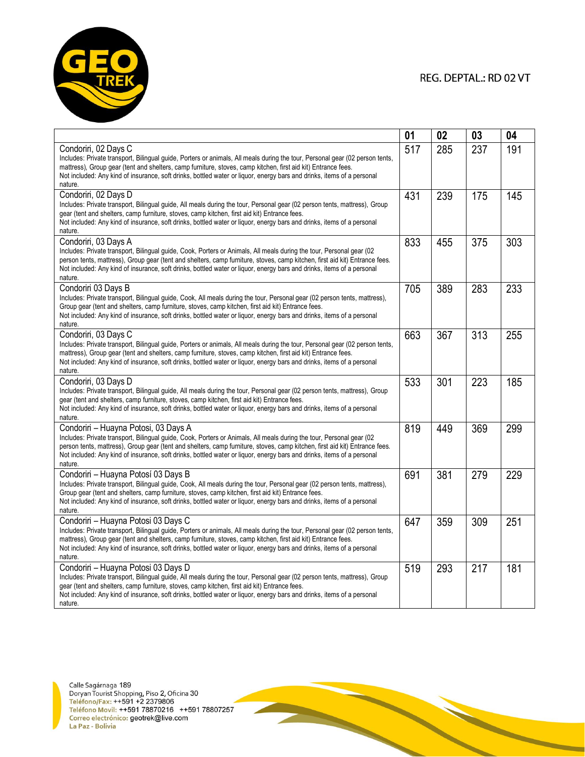

|                                                                                                                                                                                                                                                                                                                                                                                                                                  | 01  | 02  | 03  | 04  |
|----------------------------------------------------------------------------------------------------------------------------------------------------------------------------------------------------------------------------------------------------------------------------------------------------------------------------------------------------------------------------------------------------------------------------------|-----|-----|-----|-----|
| Condoriri, 02 Days C<br>Includes: Private transport, Bilingual guide, Porters or animals, All meals during the tour, Personal gear (02 person tents,<br>mattress), Group gear (tent and shelters, camp furniture, stoves, camp kitchen, first aid kit) Entrance fees.<br>Not included: Any kind of insurance, soft drinks, bottled water or liguor, energy bars and drinks, items of a personal<br>nature.                       | 517 | 285 | 237 | 191 |
| Condoriri, 02 Days D<br>Includes: Private transport, Bilingual guide, All meals during the tour, Personal gear (02 person tents, mattress), Group<br>gear (tent and shelters, camp furniture, stoves, camp kitchen, first aid kit) Entrance fees.<br>Not included: Any kind of insurance, soft drinks, bottled water or liquor, energy bars and drinks, items of a personal<br>nature.                                           | 431 | 239 | 175 | 145 |
| Condoriri, 03 Days A<br>Includes: Private transport, Bilingual guide, Cook, Porters or Animals, All meals during the tour, Personal gear (02<br>person tents, mattress), Group gear (tent and shelters, camp furniture, stoves, camp kitchen, first aid kit) Entrance fees.<br>Not included: Any kind of insurance, soft drinks, bottled water or liquor, energy bars and drinks, items of a personal<br>nature.                 | 833 | 455 | 375 | 303 |
| Condoriri 03 Days B<br>Includes: Private transport, Bilingual guide, Cook, All meals during the tour, Personal gear (02 person tents, mattress),<br>Group gear (tent and shelters, camp furniture, stoves, camp kitchen, first aid kit) Entrance fees.<br>Not included: Any kind of insurance, soft drinks, bottled water or liquor, energy bars and drinks, items of a personal<br>nature.                                      | 705 | 389 | 283 | 233 |
| Condoriri, 03 Days C<br>Includes: Private transport, Bilingual guide, Porters or animals, All meals during the tour, Personal gear (02 person tents,<br>mattress), Group gear (tent and shelters, camp furniture, stoves, camp kitchen, first aid kit) Entrance fees.<br>Not included: Any kind of insurance, soft drinks, bottled water or liquor, energy bars and drinks, items of a personal<br>nature.                       | 663 | 367 | 313 | 255 |
| Condoriri, 03 Days D<br>Includes: Private transport, Bilingual guide, All meals during the tour, Personal gear (02 person tents, mattress), Group<br>gear (tent and shelters, camp furniture, stoves, camp kitchen, first aid kit) Entrance fees.<br>Not included: Any kind of insurance, soft drinks, bottled water or liquor, energy bars and drinks, items of a personal<br>nature.                                           | 533 | 301 | 223 | 185 |
| Condoriri - Huayna Potosi, 03 Days A<br>Includes: Private transport, Bilingual guide, Cook, Porters or Animals, All meals during the tour, Personal gear (02<br>person tents, mattress), Group gear (tent and shelters, camp furniture, stoves, camp kitchen, first aid kit) Entrance fees.<br>Not included: Any kind of insurance, soft drinks, bottled water or liguor, energy bars and drinks, items of a personal<br>nature. | 819 | 449 | 369 | 299 |
| Condoriri - Huayna Potosí 03 Days B<br>Includes: Private transport, Bilingual guide, Cook, All meals during the tour, Personal gear (02 person tents, mattress),<br>Group gear (tent and shelters, camp furniture, stoves, camp kitchen, first aid kit) Entrance fees.<br>Not included: Any kind of insurance, soft drinks, bottled water or liquor, energy bars and drinks, items of a personal<br>nature.                      | 691 | 381 | 279 | 229 |
| Condoriri - Huayna Potosi 03 Days C<br>Includes: Private transport, Bilingual guide, Porters or animals, All meals during the tour, Personal gear (02 person tents,<br>mattress), Group gear (tent and shelters, camp furniture, stoves, camp kitchen, first aid kit) Entrance fees.<br>Not included: Any kind of insurance, soft drinks, bottled water or liquor, energy bars and drinks, items of a personal<br>nature.        | 647 | 359 | 309 | 251 |
| Condoriri - Huayna Potosi 03 Days D<br>Includes: Private transport, Bilingual guide, All meals during the tour, Personal gear (02 person tents, mattress), Group<br>gear (tent and shelters, camp furniture, stoves, camp kitchen, first aid kit) Entrance fees.<br>Not included: Any kind of insurance, soft drinks, bottled water or liquor, energy bars and drinks, items of a personal<br>nature.                            | 519 | 293 | 217 | 181 |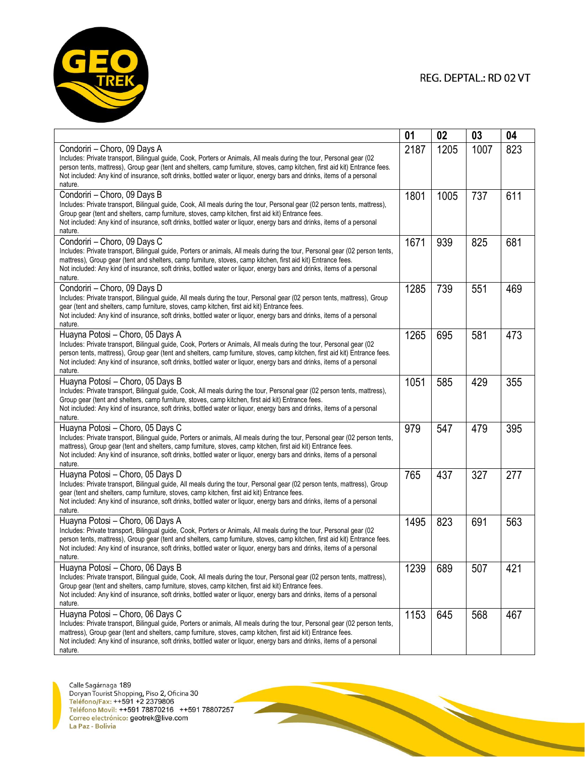

|                                                                                                                                                                                                                                                                                                                                                                                                                              | 01   | 02   | 03   | 04  |
|------------------------------------------------------------------------------------------------------------------------------------------------------------------------------------------------------------------------------------------------------------------------------------------------------------------------------------------------------------------------------------------------------------------------------|------|------|------|-----|
| Condoriri - Choro, 09 Days A<br>Includes: Private transport, Bilingual guide, Cook, Porters or Animals, All meals during the tour, Personal gear (02<br>person tents, mattress), Group gear (tent and shelters, camp furniture, stoves, camp kitchen, first aid kit) Entrance fees.<br>Not included: Any kind of insurance, soft drinks, bottled water or liquor, energy bars and drinks, items of a personal<br>nature.     | 2187 | 1205 | 1007 | 823 |
| Condoriri - Choro, 09 Days B<br>Includes: Private transport, Bilingual guide, Cook, All meals during the tour, Personal gear (02 person tents, mattress),<br>Group gear (tent and shelters, camp furniture, stoves, camp kitchen, first aid kit) Entrance fees.<br>Not included: Any kind of insurance, soft drinks, bottled water or liquor, energy bars and drinks, items of a personal<br>nature.                         | 1801 | 1005 | 737  | 611 |
| Condoriri - Choro, 09 Days C<br>Includes: Private transport, Bilingual guide, Porters or animals, All meals during the tour, Personal gear (02 person tents,<br>mattress). Group gear (tent and shelters, camp furniture, stoves, camp kitchen, first aid kit) Entrance fees.<br>Not included: Any kind of insurance, soft drinks, bottled water or liquor, energy bars and drinks, items of a personal<br>nature.           | 1671 | 939  | 825  | 681 |
| Condoriri - Choro, 09 Days D<br>Includes: Private transport, Bilingual guide, All meals during the tour, Personal gear (02 person tents, mattress), Group<br>gear (tent and shelters, camp furniture, stoves, camp kitchen, first aid kit) Entrance fees.<br>Not included: Any kind of insurance, soft drinks, bottled water or liquor, energy bars and drinks, items of a personal<br>nature.                               | 1285 | 739  | 551  | 469 |
| Huayna Potosi - Choro, 05 Days A<br>Includes: Private transport, Bilingual guide, Cook, Porters or Animals, All meals during the tour, Personal gear (02<br>person tents, mattress), Group gear (tent and shelters, camp furniture, stoves, camp kitchen, first aid kit) Entrance fees.<br>Not included: Any kind of insurance, soft drinks, bottled water or liquor, energy bars and drinks, items of a personal<br>nature. | 1265 | 695  | 581  | 473 |
| Huayna Potosí - Choro, 05 Days B<br>Includes: Private transport, Bilingual guide, Cook, All meals during the tour, Personal gear (02 person tents, mattress),<br>Group gear (tent and shelters, camp furniture, stoves, camp kitchen, first aid kit) Entrance fees.<br>Not included: Any kind of insurance, soft drinks, bottled water or liquor, energy bars and drinks, items of a personal<br>nature.                     | 1051 | 585  | 429  | 355 |
| Huayna Potosi - Choro, 05 Days C<br>Includes: Private transport, Bilingual guide, Porters or animals, All meals during the tour, Personal gear (02 person tents,<br>mattress), Group gear (tent and shelters, camp furniture, stoves, camp kitchen, first aid kit) Entrance fees.<br>Not included: Any kind of insurance, soft drinks, bottled water or liquor, energy bars and drinks, items of a personal<br>nature.       | 979  | 547  | 479  | 395 |
| Huayna Potosi - Choro, 05 Days D<br>Includes: Private transport, Bilingual guide, All meals during the tour, Personal gear (02 person tents, mattress), Group<br>gear (tent and shelters, camp furniture, stoves, camp kitchen, first aid kit) Entrance fees.<br>Not included: Any kind of insurance, soft drinks, bottled water or liquor, energy bars and drinks, items of a personal<br>nature.                           | 765  | 437  | 327  | 277 |
| Huayna Potosi - Choro, 06 Days A<br>Includes: Private transport, Bilingual guide, Cook, Porters or Animals, All meals during the tour, Personal gear (02<br>person tents, mattress), Group gear (tent and shelters, camp furniture, stoves, camp kitchen, first aid kit) Entrance fees.<br>Not included: Any kind of insurance, soft drinks, bottled water or liquor, energy bars and drinks, items of a personal<br>nature. | 1495 | 823  | 691  | 563 |
| Huayna Potosí - Choro, 06 Days B<br>Includes: Private transport, Bilingual guide, Cook, All meals during the tour, Personal gear (02 person tents, mattress),<br>Group gear (tent and shelters, camp furniture, stoves, camp kitchen, first aid kit) Entrance fees.<br>Not included: Any kind of insurance, soft drinks, bottled water or liquor, energy bars and drinks, items of a personal<br>nature.                     | 1239 | 689  | 507  | 421 |
| Huayna Potosi - Choro, 06 Days C<br>Includes: Private transport, Bilingual guide, Porters or animals, All meals during the tour, Personal gear (02 person tents,<br>mattress), Group gear (tent and shelters, camp furniture, stoves, camp kitchen, first aid kit) Entrance fees.<br>Not included: Any kind of insurance, soft drinks, bottled water or liquor, energy bars and drinks, items of a personal<br>nature        | 1153 | 645  | 568  | 467 |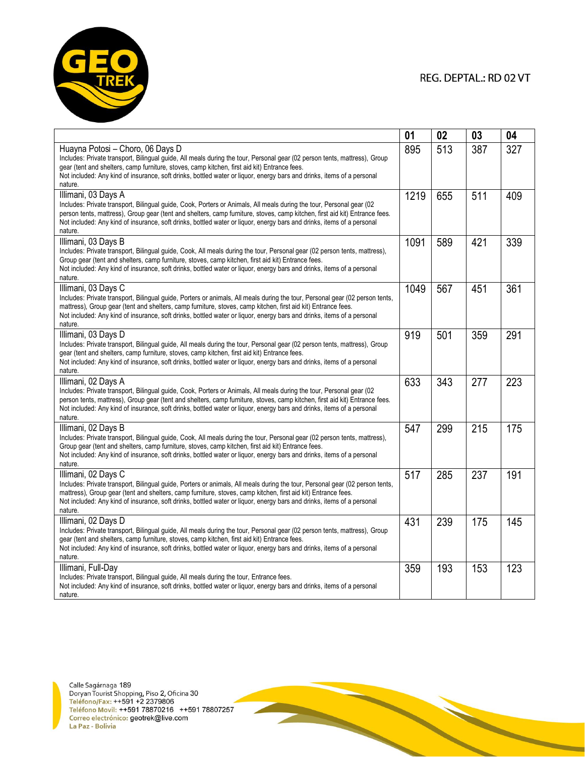

|                                                                                                                                                                                                                                                                                                                                                                                                                 | 01   | 02  | 03  | 04  |
|-----------------------------------------------------------------------------------------------------------------------------------------------------------------------------------------------------------------------------------------------------------------------------------------------------------------------------------------------------------------------------------------------------------------|------|-----|-----|-----|
| Huayna Potosi - Choro, 06 Days D<br>Includes: Private transport, Bilingual guide, All meals during the tour, Personal gear (02 person tents, mattress), Group<br>gear (tent and shelters, camp furniture, stoves, camp kitchen, first aid kit) Entrance fees.<br>Not included: Any kind of insurance, soft drinks, bottled water or liquor, energy bars and drinks, items of a personal<br>nature.              | 895  | 513 | 387 | 327 |
| Illimani, 03 Days A<br>Includes: Private transport, Bilingual guide, Cook, Porters or Animals, All meals during the tour, Personal gear (02<br>person tents, mattress), Group gear (tent and shelters, camp furniture, stoves, camp kitchen, first aid kit) Entrance fees.<br>Not included: Any kind of insurance, soft drinks, bottled water or liquor, energy bars and drinks, items of a personal<br>nature. | 1219 | 655 | 511 | 409 |
| Illimani, 03 Days B<br>Includes: Private transport, Bilingual guide, Cook, All meals during the tour, Personal gear (02 person tents, mattress),<br>Group gear (tent and shelters, camp furniture, stoves, camp kitchen, first aid kit) Entrance fees.<br>Not included: Any kind of insurance, soft drinks, bottled water or liguor, energy bars and drinks, items of a personal<br>nature.                     | 1091 | 589 | 421 | 339 |
| Illimani, 03 Days C<br>Includes: Private transport, Bilingual guide, Porters or animals, All meals during the tour, Personal gear (02 person tents,<br>mattress), Group gear (tent and shelters, camp furniture, stoves, camp kitchen, first aid kit) Entrance fees.<br>Not included: Any kind of insurance, soft drinks, bottled water or liquor, energy bars and drinks, items of a personal<br>nature.       | 1049 | 567 | 451 | 361 |
| Illimani, 03 Days D<br>Includes: Private transport, Bilingual guide, All meals during the tour, Personal gear (02 person tents, mattress), Group<br>gear (tent and shelters, camp furniture, stoves, camp kitchen, first aid kit) Entrance fees.<br>Not included: Any kind of insurance, soft drinks, bottled water or liquor, energy bars and drinks, items of a personal<br>nature.                           | 919  | 501 | 359 | 291 |
| Illimani, 02 Days A<br>Includes: Private transport, Bilingual quide, Cook, Porters or Animals, All meals during the tour, Personal gear (02<br>person tents, mattress), Group gear (tent and shelters, camp furniture, stoves, camp kitchen, first aid kit) Entrance fees.<br>Not included: Any kind of insurance, soft drinks, bottled water or liquor, energy bars and drinks, items of a personal<br>nature. | 633  | 343 | 277 | 223 |
| Illimani, 02 Days B<br>Includes: Private transport, Bilingual guide, Cook, All meals during the tour, Personal gear (02 person tents, mattress),<br>Group gear (tent and shelters, camp furniture, stoves, camp kitchen, first aid kit) Entrance fees.<br>Not included: Any kind of insurance, soft drinks, bottled water or liquor, energy bars and drinks, items of a personal<br>nature.                     | 547  | 299 | 215 | 175 |
| Illimani, 02 Days C<br>Includes: Private transport, Bilingual guide, Porters or animals, All meals during the tour, Personal gear (02 person tents,<br>mattress), Group gear (tent and shelters, camp furniture, stoves, camp kitchen, first aid kit) Entrance fees.<br>Not included: Any kind of insurance, soft drinks, bottled water or liquor, energy bars and drinks, items of a personal<br>nature.       | 517  | 285 | 237 | 191 |
| Illimani, 02 Days D<br>Includes: Private transport, Bilingual guide, All meals during the tour, Personal gear (02 person tents, mattress), Group<br>gear (tent and shelters, camp furniture, stoves, camp kitchen, first aid kit) Entrance fees.<br>Not included: Any kind of insurance, soft drinks, bottled water or liquor, energy bars and drinks, items of a personal<br>nature.                           | 431  | 239 | 175 | 145 |
| Illimani, Full-Day<br>Includes: Private transport, Bilingual guide, All meals during the tour, Entrance fees.<br>Not included: Any kind of insurance, soft drinks, bottled water or liquor, energy bars and drinks, items of a personal<br>nature.                                                                                                                                                              | 359  | 193 | 153 | 123 |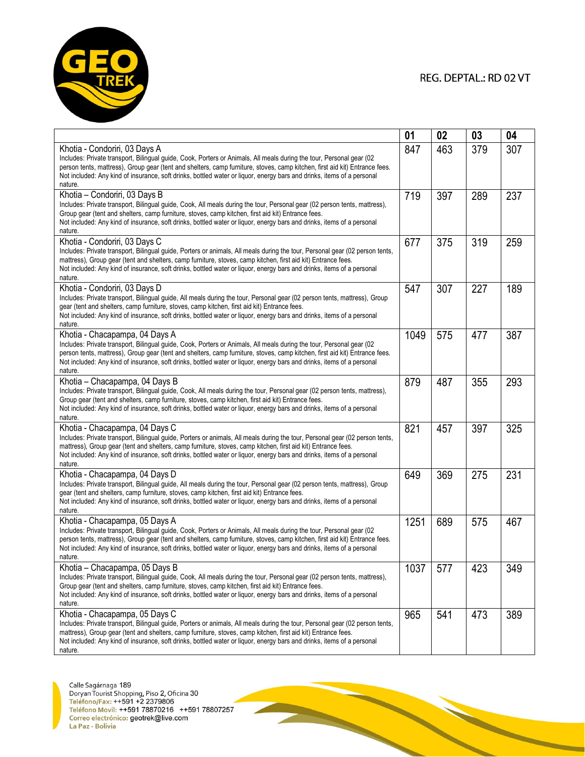

|                                                                                                                                                                                                                                                                                                                                                                                                                            | 01   | 02  | 03  | 04  |
|----------------------------------------------------------------------------------------------------------------------------------------------------------------------------------------------------------------------------------------------------------------------------------------------------------------------------------------------------------------------------------------------------------------------------|------|-----|-----|-----|
| Khotia - Condoriri, 03 Days A<br>Includes: Private transport, Bilingual guide, Cook, Porters or Animals, All meals during the tour, Personal gear (02<br>person tents, mattress), Group gear (tent and shelters, camp furniture, stoves, camp kitchen, first aid kit) Entrance fees.<br>Not included: Any kind of insurance, soft drinks, bottled water or liquor, energy bars and drinks, items of a personal<br>nature.  | 847  | 463 | 379 | 307 |
| Khotia - Condoriri, 03 Days B<br>Includes: Private transport, Bilingual guide, Cook, All meals during the tour, Personal gear (02 person tents, mattress),<br>Group gear (tent and shelters, camp furniture, stoves, camp kitchen, first aid kit) Entrance fees.<br>Not included: Any kind of insurance, soft drinks, bottled water or liquor, energy bars and drinks, items of a personal<br>nature.                      | 719  | 397 | 289 | 237 |
| Khotia - Condoriri, 03 Days C<br>Includes: Private transport, Bilingual guide, Porters or animals, All meals during the tour, Personal gear (02 person tents,<br>mattress), Group gear (tent and shelters, camp furniture, stoves, camp kitchen, first aid kit) Entrance fees.<br>Not included: Any kind of insurance, soft drinks, bottled water or liquor, energy bars and drinks, items of a personal<br>nature.        | 677  | 375 | 319 | 259 |
| Khotia - Condoriri, 03 Days D<br>Includes: Private transport, Bilingual guide, All meals during the tour, Personal gear (02 person tents, mattress), Group<br>gear (tent and shelters, camp furniture, stoves, camp kitchen, first aid kit) Entrance fees.<br>Not included: Any kind of insurance, soft drinks, bottled water or liquor, energy bars and drinks, items of a personal<br>nature.                            | 547  | 307 | 227 | 189 |
| Khotia - Chacapampa, 04 Days A<br>Includes: Private transport, Bilingual guide, Cook, Porters or Animals, All meals during the tour, Personal gear (02<br>person tents, mattress), Group gear (tent and shelters, camp furniture, stoves, camp kitchen, first aid kit) Entrance fees.<br>Not included: Any kind of insurance, soft drinks, bottled water or liquor, energy bars and drinks, items of a personal<br>nature. | 1049 | 575 | 477 | 387 |
| Khotia - Chacapampa, 04 Days B<br>Includes: Private transport, Bilingual guide, Cook, All meals during the tour, Personal gear (02 person tents, mattress),<br>Group gear (tent and shelters, camp furniture, stoves, camp kitchen, first aid kit) Entrance fees.<br>Not included: Any kind of insurance, soft drinks, bottled water or liquor, energy bars and drinks, items of a personal<br>nature.                     | 879  | 487 | 355 | 293 |
| Khotia - Chacapampa, 04 Days C<br>Includes: Private transport, Bilingual guide, Porters or animals, All meals during the tour, Personal gear (02 person tents,<br>mattress), Group gear (tent and shelters, camp furniture, stoves, camp kitchen, first aid kit) Entrance fees.<br>Not included: Any kind of insurance, soft drinks, bottled water or liquor, energy bars and drinks, items of a personal<br>nature.       | 821  | 457 | 397 | 325 |
| Khotia - Chacapampa, 04 Days D<br>Includes: Private transport, Bilingual guide, All meals during the tour, Personal gear (02 person tents, mattress), Group<br>gear (tent and shelters, camp furniture, stoves, camp kitchen, first aid kit) Entrance fees.<br>Not included: Any kind of insurance, soft drinks, bottled water or liquor, energy bars and drinks, items of a personal<br>nature.                           | 649  | 369 | 275 | 231 |
| Khotia - Chacapampa, 05 Days A<br>Includes: Private transport, Bilingual guide, Cook, Porters or Animals, All meals during the tour, Personal gear (02<br>person tents, mattress), Group gear (tent and shelters, camp furniture, stoves, camp kitchen, first aid kit) Entrance fees.<br>Not included: Any kind of insurance, soft drinks, bottled water or liquor, energy bars and drinks, items of a personal<br>nature. | 1251 | 689 | 575 | 467 |
| Khotia - Chacapampa, 05 Days B<br>Includes: Private transport, Bilingual guide, Cook, All meals during the tour, Personal gear (02 person tents, mattress),<br>Group gear (tent and shelters, camp furniture, stoves, camp kitchen, first aid kit) Entrance fees.<br>Not included: Any kind of insurance, soft drinks, bottled water or liquor, energy bars and drinks, items of a personal<br>nature.                     | 1037 | 577 | 423 | 349 |
| Khotia - Chacapampa, 05 Days C<br>Includes: Private transport, Bilingual guide, Porters or animals, All meals during the tour, Personal gear (02 person tents,<br>mattress), Group gear (tent and shelters, camp furniture, stoves, camp kitchen, first aid kit) Entrance fees.<br>Not included: Any kind of insurance, soft drinks, bottled water or liquor, energy bars and drinks, items of a personal<br>nature        | 965  | 541 | 473 | 389 |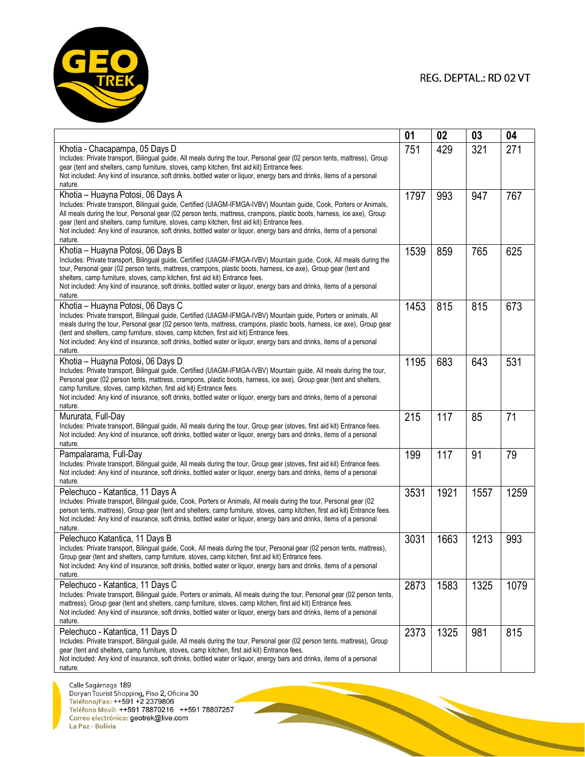

|                                                                                                                                                                                                                                                                                                                                                                                                                                                                                                                          | 01   | 02   | 03   | 04   |
|--------------------------------------------------------------------------------------------------------------------------------------------------------------------------------------------------------------------------------------------------------------------------------------------------------------------------------------------------------------------------------------------------------------------------------------------------------------------------------------------------------------------------|------|------|------|------|
| Khotia - Chacapampa, 05 Days D<br>Includes: Private transport, Bilingual guide, All meals during the tour, Personal gear (02 person tents, mattress), Group<br>gear (tent and shelters, camp furniture, stoves, camp kitchen, first aid kit) Entrance fees.<br>Not included: Any kind of insurance, soft drinks, bottled water or liquor, energy bars and drinks, items of a personal<br>nature.                                                                                                                         | 751  | 429  | 321  | 271  |
| Khotia - Huayna Potosi, 06 Days A<br>Includes: Private transport, Bilingual guide, Certified (UIAGM-IFMGA-IVBV) Mountain guide, Cook, Porters or Animals,<br>All meals during the tour, Personal gear (02 person tents, mattress, crampons, plastic boots, harness, ice axe), Group<br>gear (tent and shelters, camp furniture, stoves, camp kitchen, first aid kit) Entrance fees.<br>Not included: Any kind of insurance, soft drinks, bottled water or liquor, energy bars and drinks, items of a personal<br>nature. | 1797 | 993  | 947  | 767  |
| Khotia – Huayna Potosi, 06 Days B<br>Includes: Private transport, Bilingual guide, Certified (UIAGM-IFMGA-IVBV) Mountain guide, Cook, All meals during the<br>tour, Personal gear (02 person tents, mattress, crampons, plastic boots, harness, ice axe), Group gear (tent and<br>shelters, camp furniture, stoves, camp kitchen, first aid kit) Entrance fees.<br>Not included: Any kind of insurance, soft drinks, bottled water or liquor, energy bars and drinks, items of a personal<br>nature.                     | 1539 | 859  | 765  | 625  |
| Khotia – Huayna Potosi, 06 Days C<br>Includes: Private transport, Bilingual guide, Certified (UIAGM-IFMGA-IVBV) Mountain guide, Porters or animals, All<br>meals during the tour, Personal gear (02 person tents, mattress, crampons, plastic boots, harness, ice axe), Group gear<br>(tent and shelters, camp furniture, stoves, camp kitchen, first aid kit) Entrance fees.<br>Not included: Any kind of insurance, soft drinks, bottled water or liquor, energy bars and drinks, items of a personal<br>nature.       | 1453 | 815  | 815  | 673  |
| Khotia - Huayna Potosi, 06 Days D<br>Includes: Private transport, Bilingual guide, Certified (UIAGM-IFMGA-IVBV) Mountain guide, All meals during the tour,<br>Personal gear (02 person tents, mattress, crampons, plastic boots, harness, ice axe), Group gear (tent and shelters,<br>camp furniture, stoves, camp kitchen, first aid kit) Entrance fees.<br>Not included: Any kind of insurance, soft drinks, bottled water or liquor, energy bars and drinks, items of a personal<br>nature.                           | 1195 | 683  | 643  | 531  |
| Mururata, Full-Day<br>Includes: Private transport, Bilingual guide, All meals during the tour, Group gear (stoves, first aid kit) Entrance fees.<br>Not included: Any kind of insurance, soft drinks, bottled water or liquor, energy bars and drinks, items of a personal<br>nature.                                                                                                                                                                                                                                    | 215  | 117  | 85   | 71   |
| Pampalarama, Full-Day<br>Includes: Private transport, Bilingual guide, All meals during the tour, Group gear (stoves, first aid kit) Entrance fees.<br>Not included: Any kind of insurance, soft drinks, bottled water or liquor, energy bars and drinks, items of a personal<br>nature.                                                                                                                                                                                                                                 | 199  | 117  | 91   | 79   |
| Pelechuco - Katantica, 11 Days A<br>Includes: Private transport, Bilingual guide, Cook, Porters or Animals, All meals during the tour, Personal gear (02<br>person tents, mattress), Group gear (tent and shelters, camp furniture, stoves, camp kitchen, first aid kit) Entrance fees.<br>Not included: Any kind of insurance, soft drinks, bottled water or liquor, energy bars and drinks, items of a personal<br>nature.                                                                                             | 3531 | 1921 | 1557 | 1259 |
| Pelechuco Katantica, 11 Days B<br>Includes: Private transport, Bilingual guide, Cook, All meals during the tour, Personal gear (02 person tents, mattress),<br>Group gear (tent and shelters, camp furniture, stoves, camp kitchen, first aid kit) Entrance fees.<br>Not included: Any kind of insurance, soft drinks, bottled water or liquor, energy bars and drinks, items of a personal<br>nature.                                                                                                                   | 3031 | 1663 | 1213 | 993  |
| Pelechuco - Katantica, 11 Days C<br>Includes: Private transport, Bilingual guide, Porters or animals, All meals during the tour, Personal gear (02 person tents,<br>mattress), Group gear (tent and shelters, camp furniture, stoves, camp kitchen, first aid kit) Entrance fees.<br>Not included: Any kind of insurance, soft drinks, bottled water or liquor, energy bars and drinks, items of a personal<br>nature.                                                                                                   | 2873 | 1583 | 1325 | 1079 |
| Pelechuco - Katantica, 11 Days D<br>Includes: Private transport, Bilingual guide, All meals during the tour, Personal gear (02 person tents, mattress), Group<br>gear (tent and shelters, camp furniture, stoves, camp kitchen, first aid kit) Entrance fees.<br>Not included: Any kind of insurance, soft drinks, bottled water or liquor, energy bars and drinks, items of a personal<br>nature.                                                                                                                       | 2373 | 1325 | 981  | 815  |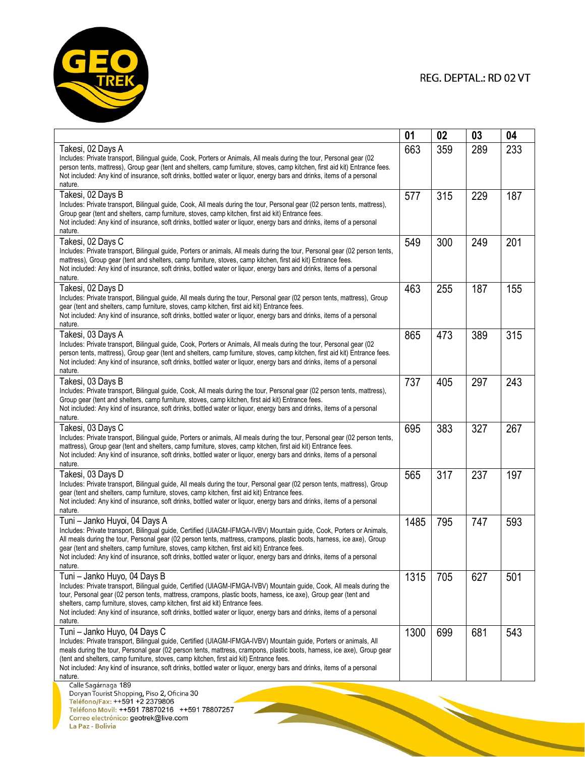

**REAL PROPERTY** 

|                                                                                                                                                                                                                                                                                                                                                                                                                                                                                                                      | 01   | 02  | 03  | 04  |
|----------------------------------------------------------------------------------------------------------------------------------------------------------------------------------------------------------------------------------------------------------------------------------------------------------------------------------------------------------------------------------------------------------------------------------------------------------------------------------------------------------------------|------|-----|-----|-----|
| Takesi, 02 Days A<br>Includes: Private transport, Bilingual guide, Cook, Porters or Animals, All meals during the tour, Personal gear (02<br>person tents, mattress), Group gear (tent and shelters, camp furniture, stoves, camp kitchen, first aid kit) Entrance fees.<br>Not included: Any kind of insurance, soft drinks, bottled water or liquor, energy bars and drinks, items of a personal<br>nature.                                                                                                        | 663  | 359 | 289 | 233 |
| Takesi, 02 Days B<br>Includes: Private transport, Bilingual guide, Cook, All meals during the tour, Personal gear (02 person tents, mattress),<br>Group gear (tent and shelters, camp furniture, stoves, camp kitchen, first aid kit) Entrance fees.<br>Not included: Any kind of insurance, soft drinks, bottled water or liquor, energy bars and drinks, items of a personal<br>nature.                                                                                                                            | 577  | 315 | 229 | 187 |
| Takesi, 02 Days C<br>Includes: Private transport, Bilingual guide, Porters or animals, All meals during the tour, Personal gear (02 person tents,<br>mattress), Group gear (tent and shelters, camp furniture, stoves, camp kitchen, first aid kit) Entrance fees.<br>Not included: Any kind of insurance, soft drinks, bottled water or liquor, energy bars and drinks, items of a personal<br>nature.                                                                                                              | 549  | 300 | 249 | 201 |
| Takesi, 02 Days D<br>Includes: Private transport, Bilingual guide, All meals during the tour, Personal gear (02 person tents, mattress), Group<br>gear (tent and shelters, camp furniture, stoves, camp kitchen, first aid kit) Entrance fees.<br>Not included: Any kind of insurance, soft drinks, bottled water or liquor, energy bars and drinks, items of a personal<br>nature.                                                                                                                                  | 463  | 255 | 187 | 155 |
| Takesi, 03 Days A<br>Includes: Private transport, Bilingual guide, Cook, Porters or Animals, All meals during the tour, Personal gear (02<br>person tents, mattress), Group gear (tent and shelters, camp furniture, stoves, camp kitchen, first aid kit) Entrance fees.<br>Not included: Any kind of insurance, soft drinks, bottled water or liquor, energy bars and drinks, items of a personal<br>nature.                                                                                                        | 865  | 473 | 389 | 315 |
| Takesi, 03 Days B<br>Includes: Private transport, Bilingual guide, Cook, All meals during the tour, Personal gear (02 person tents, mattress),<br>Group gear (tent and shelters, camp furniture, stoves, camp kitchen, first aid kit) Entrance fees.<br>Not included: Any kind of insurance, soft drinks, bottled water or liquor, energy bars and drinks, items of a personal<br>nature.                                                                                                                            | 737  | 405 | 297 | 243 |
| Takesi, 03 Days C<br>Includes: Private transport, Bilingual guide, Porters or animals, All meals during the tour, Personal gear (02 person tents,<br>mattress), Group gear (tent and shelters, camp furniture, stoves, camp kitchen, first aid kit) Entrance fees.<br>Not included: Any kind of insurance, soft drinks, bottled water or liquor, energy bars and drinks, items of a personal<br>nature.                                                                                                              | 695  | 383 | 327 | 267 |
| Takesi, 03 Days D<br>Includes: Private transport, Bilingual guide, All meals during the tour, Personal gear (02 person tents, mattress), Group<br>gear (tent and shelters, camp furniture, stoves, camp kitchen, first aid kit) Entrance fees.<br>Not included: Any kind of insurance, soft drinks, bottled water or liquor, energy bars and drinks, items of a personal<br>nature.                                                                                                                                  | 565  | 317 | 237 | 197 |
| Tuni - Janko Huyoi, 04 Days A<br>Includes: Private transport, Bilingual guide, Certified (UIAGM-IFMGA-IVBV) Mountain guide, Cook, Porters or Animals,<br>All meals during the tour, Personal gear (02 person tents, mattress, crampons, plastic boots, harness, ice axe), Group<br>gear (tent and shelters, camp furniture, stoves, camp kitchen, first aid kit) Entrance fees.<br>Not included: Any kind of insurance, soft drinks, bottled water or liquor, energy bars and drinks, items of a personal<br>nature. | 1485 | 795 | 747 | 593 |
| Tuni - Janko Huyo, 04 Days B<br>Includes: Private transport, Bilingual guide, Certified (UIAGM-IFMGA-IVBV) Mountain guide, Cook, All meals during the<br>tour, Personal gear (02 person tents, mattress, crampons, plastic boots, harness, ice axe), Group gear (tent and<br>shelters, camp furniture, stoves, camp kitchen, first aid kit) Entrance fees.<br>Not included: Any kind of insurance, soft drinks, bottled water or liquor, energy bars and drinks, items of a personal<br>nature.                      | 1315 | 705 | 627 | 501 |
| Tuni - Janko Huyo, 04 Days C<br>Includes: Private transport, Bilingual guide, Certified (UIAGM-IFMGA-IVBV) Mountain guide, Porters or animals, All<br>meals during the tour, Personal gear (02 person tents, mattress, crampons, plastic boots, harness, ice axe), Group gear<br>(tent and shelters, camp furniture, stoves, camp kitchen, first aid kit) Entrance fees.<br>Not included: Any kind of insurance, soft drinks, bottled water or liquor, energy bars and drinks, items of a personal<br>nature.        | 1300 | 699 | 681 | 543 |
| Calle Sagárnaga 189<br>Doryan Tourist Shopping, Piso 2, Oficina 30<br>Teléfono/Fax: ++591 +2 2379806                                                                                                                                                                                                                                                                                                                                                                                                                 |      |     |     |     |

Electronograf: TTO91 TZ 2379600<br>Teléfono Movil: ++591 78870216 ++591 78807257<br>Correo electrónico: geotrek@live.com<br>La Paz - Bolivia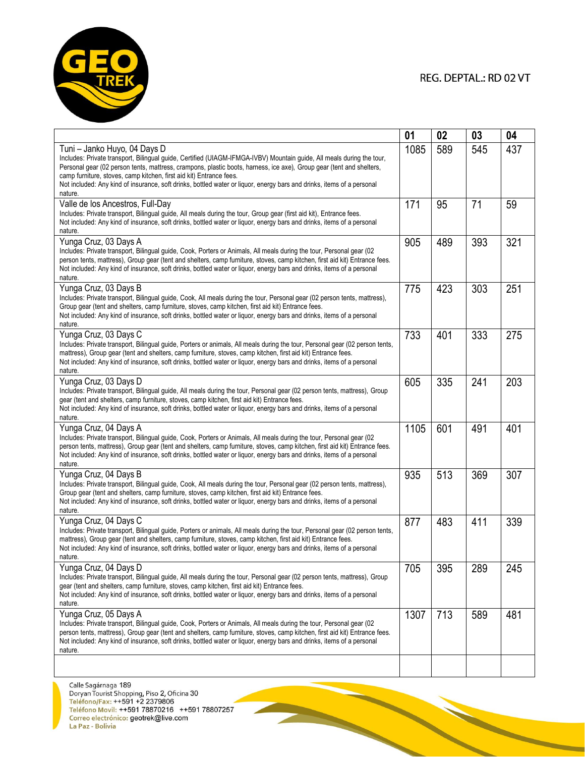

|                                                                                                                                                                                                                                                                                                                                                                                                                                                                                           | 01   | 02  | 03  | 04  |
|-------------------------------------------------------------------------------------------------------------------------------------------------------------------------------------------------------------------------------------------------------------------------------------------------------------------------------------------------------------------------------------------------------------------------------------------------------------------------------------------|------|-----|-----|-----|
| Tuni - Janko Huyo, 04 Days D<br>Includes: Private transport, Bilingual guide, Certified (UIAGM-IFMGA-IVBV) Mountain guide, All meals during the tour,<br>Personal gear (02 person tents, mattress, crampons, plastic boots, harness, ice axe), Group gear (tent and shelters,<br>camp furniture, stoves, camp kitchen, first aid kit) Entrance fees.<br>Not included: Any kind of insurance, soft drinks, bottled water or liquor, energy bars and drinks, items of a personal<br>nature. | 1085 | 589 | 545 | 437 |
| Valle de los Ancestros, Full-Day<br>Includes: Private transport, Bilingual guide, All meals during the tour, Group gear (first aid kit), Entrance fees.<br>Not included: Any kind of insurance, soft drinks, bottled water or liquor, energy bars and drinks, items of a personal<br>nature.                                                                                                                                                                                              | 171  | 95  | 71  | 59  |
| Yunga Cruz, 03 Days A<br>Includes: Private transport, Bilingual guide, Cook, Porters or Animals, All meals during the tour, Personal gear (02<br>person tents, mattress), Group gear (tent and shelters, camp furniture, stoves, camp kitchen, first aid kit) Entrance fees.<br>Not included: Any kind of insurance, soft drinks, bottled water or liquor, energy bars and drinks, items of a personal<br>nature.                                                                         | 905  | 489 | 393 | 321 |
| Yunga Cruz, 03 Days B<br>Includes: Private transport, Bilingual guide, Cook, All meals during the tour, Personal gear (02 person tents, mattress),<br>Group gear (tent and shelters, camp furniture, stoves, camp kitchen, first aid kit) Entrance fees.<br>Not included: Any kind of insurance, soft drinks, bottled water or liquor, energy bars and drinks, items of a personal<br>nature.                                                                                             | 775  | 423 | 303 | 251 |
| Yunga Cruz, 03 Days C<br>Includes: Private transport, Bilingual guide, Porters or animals, All meals during the tour, Personal gear (02 person tents,<br>mattress), Group gear (tent and shelters, camp furniture, stoves, camp kitchen, first aid kit) Entrance fees.<br>Not included: Any kind of insurance, soft drinks, bottled water or liguor, energy bars and drinks, items of a personal<br>nature.                                                                               | 733  | 401 | 333 | 275 |
| Yunga Cruz, 03 Days D<br>Includes: Private transport, Bilingual guide, All meals during the tour, Personal gear (02 person tents, mattress), Group<br>gear (tent and shelters, camp furniture, stoves, camp kitchen, first aid kit) Entrance fees.<br>Not included: Any kind of insurance, soft drinks, bottled water or liquor, energy bars and drinks, items of a personal<br>nature.                                                                                                   | 605  | 335 | 241 | 203 |
| Yunga Cruz, 04 Days A<br>Includes: Private transport, Bilingual guide, Cook, Porters or Animals, All meals during the tour, Personal gear (02<br>person tents, mattress), Group gear (tent and shelters, camp furniture, stoves, camp kitchen, first aid kit) Entrance fees.<br>Not included: Any kind of insurance, soft drinks, bottled water or liquor, energy bars and drinks, items of a personal<br>nature.                                                                         | 1105 | 601 | 491 | 401 |
| Yunga Cruz, 04 Days B<br>Includes: Private transport, Bilingual guide, Cook, All meals during the tour, Personal gear (02 person tents, mattress),<br>Group gear (tent and shelters, camp furniture, stoves, camp kitchen, first aid kit) Entrance fees.<br>Not included: Any kind of insurance, soft drinks, bottled water or liquor, energy bars and drinks, items of a personal<br>nature.                                                                                             | 935  | 513 | 369 | 307 |
| Yunga Cruz, 04 Days C<br>Includes: Private transport, Bilingual guide, Porters or animals, All meals during the tour, Personal gear (02 person tents,<br>mattress), Group gear (tent and shelters, camp furniture, stoves, camp kitchen, first aid kit) Entrance fees.<br>Not included: Any kind of insurance, soft drinks, bottled water or liquor, energy bars and drinks, items of a personal<br>nature.                                                                               | 877  | 483 | 411 | 339 |
| Yunga Cruz, 04 Days D<br>Includes: Private transport, Bilingual guide, All meals during the tour, Personal gear (02 person tents, mattress), Group<br>gear (tent and shelters, camp furniture, stoves, camp kitchen, first aid kit) Entrance fees.<br>Not included: Any kind of insurance, soft drinks, bottled water or liquor, energy bars and drinks, items of a personal<br>nature.                                                                                                   | 705  | 395 | 289 | 245 |
| Yunga Cruz, 05 Days A<br>Includes: Private transport, Bilingual guide, Cook, Porters or Animals, All meals during the tour, Personal gear (02<br>person tents, mattress), Group gear (tent and shelters, camp furniture, stoves, camp kitchen, first aid kit) Entrance fees.<br>Not included: Any kind of insurance, soft drinks, bottled water or liquor, energy bars and drinks, items of a personal<br>nature.                                                                         | 1307 | 713 | 589 | 481 |
|                                                                                                                                                                                                                                                                                                                                                                                                                                                                                           |      |     |     |     |